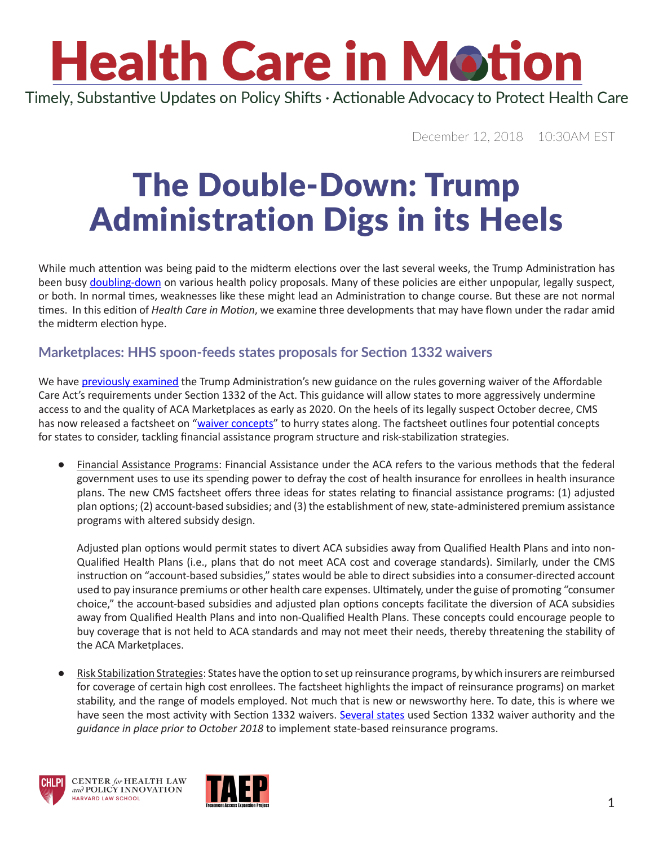Timely, Substantive Updates on Policy Shifts · Actionable Advocacy to Protect Health Care

December 12, 2018 10:30AM EST

### The Double-Down: Trump Administration Digs in its Heels

While much attention was being paid to the midterm elections over the last several weeks, the Trump Administration has been busy [doubling-down](https://www.youtube.com/watch?v=7hx4gdlfamo) on various health policy proposals. Many of these policies are either unpopular, legally suspect, or both. In normal times, weaknesses like these might lead an Administration to change course. But these are not normal times. In this edition of *Health Care in Motion*, we examine three developments that may have flown under the radar amid the midterm election hype.

#### **Marketplaces: HHS spoon-feeds states proposals for Section 1332 waivers**

We have [previously examined](https://www.chlpi.org/wp-content/uploads/2013/12/HCIM_10_24_2018.pdf) the Trump Administration's new guidance on the rules governing waiver of the Affordable Care Act's requirements under Section 1332 of the Act. This guidance will allow states to more aggressively undermine access to and the quality of ACA Marketplaces as early as 2020. On the heels of its legally suspect October decree, CMS has now released a factsheet on "[waiver concepts](https://www.cms.gov/CCIIO/Programs-and-Initiatives/State-Innovation-Waivers/Downloads/Waiver-Concepts-Fact-Sheet.pdf)" to hurry states along. The factsheet outlines four potential concepts for states to consider, tackling financial assistance program structure and risk-stabilization strategies.

Financial Assistance Programs: Financial Assistance under the ACA refers to the various methods that the federal government uses to use its spending power to defray the cost of health insurance for enrollees in health insurance plans. The new CMS factsheet offers three ideas for states relating to financial assistance programs: (1) adjusted plan options; (2) account-based subsidies; and (3) the establishment of new, state-administered premium assistance programs with altered subsidy design.

Adjusted plan options would permit states to divert ACA subsidies away from Qualified Health Plans and into non-Qualified Health Plans (i.e., plans that do not meet ACA cost and coverage standards). Similarly, under the CMS instruction on "account-based subsidies," states would be able to direct subsidies into a consumer-directed account used to pay insurance premiums or other health care expenses. Ultimately, under the guise of promoting "consumer choice," the account-based subsidies and adjusted plan options concepts facilitate the diversion of ACA subsidies away from Qualified Health Plans and into non-Qualified Health Plans. These concepts could encourage people to buy coverage that is not held to ACA standards and may not meet their needs, thereby threatening the stability of the ACA Marketplaces.

Risk Stabilization Strategies: States have the option to set up reinsurance programs, by which insurers are reimbursed for coverage of certain high cost enrollees. The factsheet highlights the impact of reinsurance programs) on market stability, and the range of models employed. Not much that is new or newsworthy here. To date, this is where we have seen the most activity with Section 1332 waivers. [Several states](https://familiesusa.org/1332-waivers-states) used Section 1332 waiver authority and the *guidance in place prior to October 2018* to implement state-based reinsurance programs.



HARVARD LAW SCHOOL



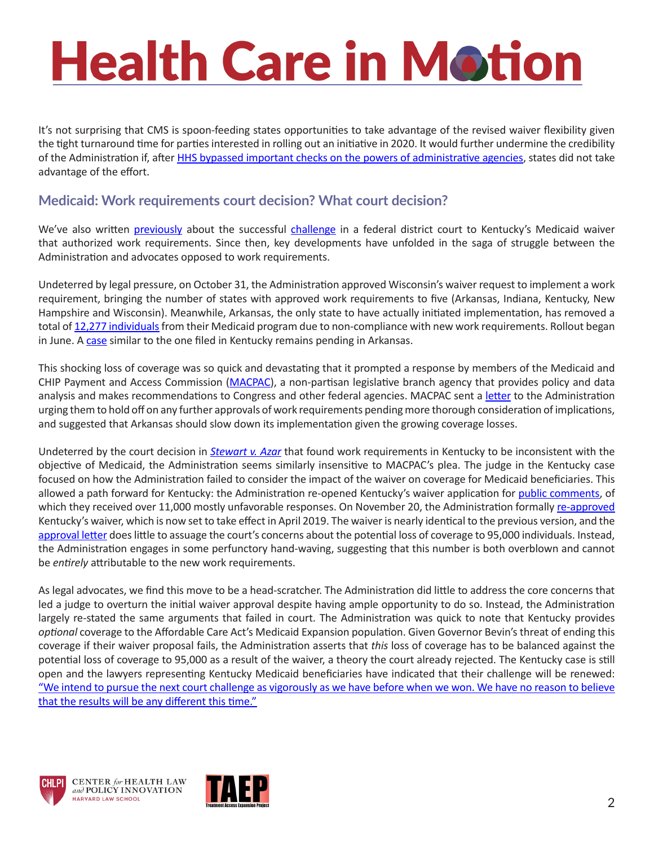It's not surprising that CMS is spoon-feeding states opportunities to take advantage of the revised waiver flexibility given the tight turnaround time for parties interested in rolling out an initiative in 2020. It would further undermine the credibility of the Administration if, after [HHS bypassed important checks on the powers of administrative agencies](https://www.chlpi.org/wp-content/uploads/2013/12/HCIM_10_24_2018.pdf), states did not take advantage of the effort.

#### **Medicaid: Work requirements court decision? What court decision?**

We've also written [previously](https://www.chlpi.org/wp-content/uploads/2013/12/HCIM_01_12_2018_updated-1_17_2018.pdf) about the successful [challenge](https://www.chlpi.org/wp-content/uploads/2013/12/HCIM_07_02_2018.pdf) in a federal district court to Kentucky's Medicaid waiver that authorized work requirements. Since then, key developments have unfolded in the saga of struggle between the Administration and advocates opposed to work requirements.

Undeterred by legal pressure, on October 31, the Administration approved Wisconsin's waiver request to implement a work requirement, bringing the number of states with approved work requirements to five (Arkansas, Indiana, Kentucky, New Hampshire and Wisconsin). Meanwhile, Arkansas, the only state to have actually initiated implementation, has removed a total of [12,277 individuals](https://www.kff.org/medicaid/issue-brief/a-look-at-october-state-data-for-medicaid-work-requirements-in-arkansas/) from their Medicaid program due to non-compliance with new work requirements. Rollout began in June. A [case](https://www.healthaffairs.org/do/10.1377/hblog20180914.426396/full/) similar to the one filed in Kentucky remains pending in Arkansas.

This shocking loss of coverage was so quick and devastating that it prompted a response by members of the Medicaid and CHIP Payment and Access Commission ([MACPAC](https://www.macpac.gov/about-macpac/)), a non-partisan legislative branch agency that provides policy and data analysis and makes recommendations to Congress and other federal agencies. MACPAC sent a [letter](https://www.macpac.gov/wp-content/uploads/2018/11/MACPAC-letter-to-HHS-Secretary-Regarding-Work-Requirements-Implementation.pdf) to the Administration urging them to hold off on any further approvals of work requirements pending more thorough consideration of implications, and suggested that Arkansas should slow down its implementation given the growing coverage losses.

Undeterred by the court decision in *[Stewart v. Azar](https://ecf.dcd.uscourts.gov/cgi-bin/show_public_doc?2018cv0152-74)* that found work requirements in Kentucky to be inconsistent with the objective of Medicaid, the Administration seems similarly insensitive to MACPAC's plea. The judge in the Kentucky case focused on how the Administration failed to consider the impact of the waiver on coverage for Medicaid beneficiaries. This allowed a path forward for Kentucky: the Administration re-opened Kentucky's waiver application for [public comments,](https://www.medicaid.gov/medicaid/section-1115-demo/transparency/index.html) of which they received over 11,000 mostly unfavorable responses. On November 20, the Administration formally [re-approved](https://www.medicaid.gov/Medicaid-CHIP-Program-Information/By-Topics/Waivers/1115/downloads/ky/ky-health-ca.pdf) Kentucky's waiver, which is now set to take effect in April 2019. The waiver is nearly identical to the previous version, and the [approval letter](https://www.medicaid.gov/Medicaid-CHIP-Program-Information/By-Topics/Waivers/1115/downloads/ky/ky-health-ca.pdf) does little to assuage the court's concerns about the potential loss of coverage to 95,000 individuals. Instead, the Administration engages in some perfunctory hand-waving, suggesting that this number is both overblown and cannot be *entirely* attributable to the new work requirements.

As legal advocates, we find this move to be a head-scratcher. The Administration did little to address the core concerns that led a judge to overturn the initial waiver approval despite having ample opportunity to do so. Instead, the Administration largely re-stated the same arguments that failed in court. The Administration was quick to note that Kentucky provides *optional* coverage to the Affordable Care Act's Medicaid Expansion population. Given Governor Bevin's threat of ending this coverage if their waiver proposal fails, the Administration asserts that *this* loss of coverage has to be balanced against the potential loss of coverage to 95,000 as a result of the waiver, a theory the court already rejected. The Kentucky case is still open and the lawyers representing Kentucky Medicaid beneficiaries have indicated that their challenge will be renewed: "We intend to pursue the next court challenge as vigorously as we have before when we won. We have no reason to believe [that the results will be any different this time."](file:///C:\Users\kcostello\AppData\Local\Microsoft\Windows\INetCache\Content.Outlook\NUGVEPL1\We intend to pursue the next court challenge as vigorously as we have before when we won. We have no reason to believe that the results will be any different this time)





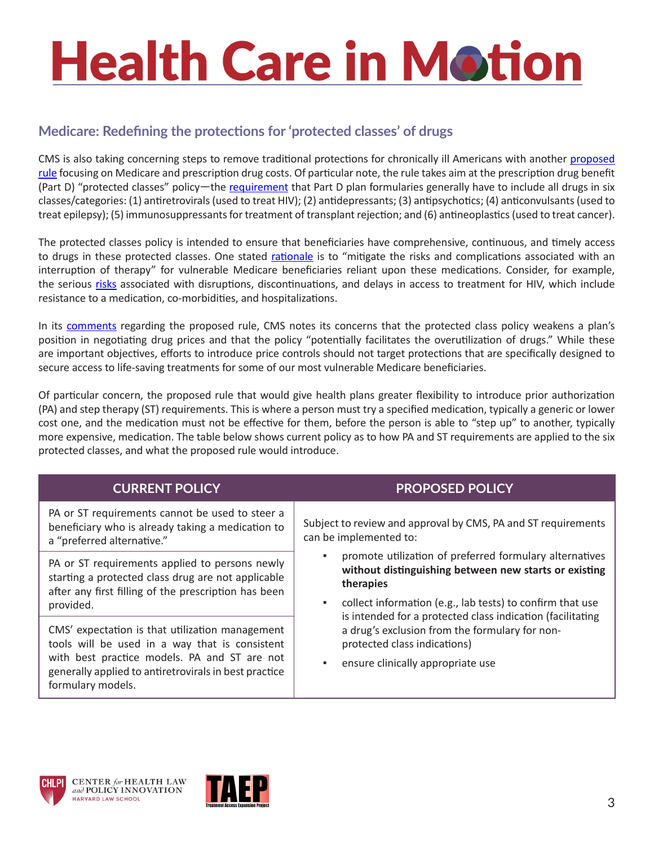#### **Medicare: Redefining the protections for 'protected classes' of drugs**

CMS is also taking concerning steps to remove traditional protections for chronically ill Americans with another [proposed](https://s3.amazonaws.com/public-inspection.federalregister.gov/2018-25945.pdf)  [rule](https://s3.amazonaws.com/public-inspection.federalregister.gov/2018-25945.pdf) focusing on Medicare and prescription drug costs. Of particular note, the rule takes aim at the prescription drug benefit (Part D) "protected classes" policy—the [requirement](https://www.cms.gov/Medicare/Prescription-Drug-Coverage/PrescriptionDrugCovContra/Downloads/Part-D-Benefits-Manual-Chapter-6.pdf) that Part D plan formularies generally have to include all drugs in six classes/categories: (1) antiretrovirals (used to treat HIV); (2) antidepressants; (3) antipsychotics; (4) anticonvulsants (used to treat epilepsy); (5) immunosuppressants for treatment of transplant rejection; and (6) antineoplastics (used to treat cancer).

The protected classes policy is intended to ensure that beneficiaries have comprehensive, continuous, and timely access to drugs in these protected classes. One stated [rationale](https://www.cms.gov/Medicare/Prescription-Drug-Coverage/PrescriptionDrugCovContra/Downloads/Part-D-Benefits-Manual-Chapter-6.pdf) is to "mitigate the risks and complications associated with an interruption of therapy" for vulnerable Medicare beneficiaries reliant upon these medications. Consider, for example, the serious [risks](https://aahivm.org/wp-content/uploads/2016/12/AAHIVM-policy-one-pager-Prior-Authorization-FINAL.pdf) associated with disruptions, discontinuations, and delays in access to treatment for HIV, which include resistance to a medication, co-morbidities, and hospitalizations.

In its [comments](https://s3.amazonaws.com/public-inspection.federalregister.gov/2018-25945.pdf) regarding the proposed rule, CMS notes its concerns that the protected class policy weakens a plan's position in negotiating drug prices and that the policy "potentially facilitates the overutilization of drugs." While these are important objectives, efforts to introduce price controls should not target protections that are specifically designed to secure access to life-saving treatments for some of our most vulnerable Medicare beneficiaries.

Of particular concern, the proposed rule that would give health plans greater flexibility to introduce prior authorization (PA) and step therapy (ST) requirements. This is where a person must try a specified medication, typically a generic or lower cost one, and the medication must not be effective for them, before the person is able to "step up" to another, typically more expensive, medication. The table below shows current policy as to how PA and ST requirements are applied to the six protected classes, and what the proposed rule would introduce.

| <b>CURRENT POLICY</b>                                                                                                                                                                                                           | <b>PROPOSED POLICY</b>                                                                                                                                                                                                                                                                                                                                                                                                                                                          |
|---------------------------------------------------------------------------------------------------------------------------------------------------------------------------------------------------------------------------------|---------------------------------------------------------------------------------------------------------------------------------------------------------------------------------------------------------------------------------------------------------------------------------------------------------------------------------------------------------------------------------------------------------------------------------------------------------------------------------|
| PA or ST requirements cannot be used to steer a<br>beneficiary who is already taking a medication to<br>a "preferred alternative."                                                                                              | Subject to review and approval by CMS, PA and ST requirements<br>can be implemented to:<br>promote utilization of preferred formulary alternatives<br>without distinguishing between new starts or existing<br>therapies<br>collect information (e.g., lab tests) to confirm that use<br>٠<br>is intended for a protected class indication (facilitating<br>a drug's exclusion from the formulary for non-<br>protected class indications)<br>ensure clinically appropriate use |
| PA or ST requirements applied to persons newly<br>starting a protected class drug are not applicable<br>after any first filling of the prescription has been<br>provided.                                                       |                                                                                                                                                                                                                                                                                                                                                                                                                                                                                 |
| CMS' expectation is that utilization management<br>tools will be used in a way that is consistent<br>with best practice models. PA and ST are not<br>generally applied to antiretrovirals in best practice<br>formulary models. |                                                                                                                                                                                                                                                                                                                                                                                                                                                                                 |